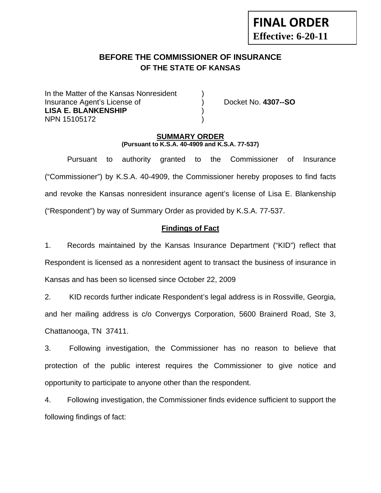# **BEFORE THE COMMISSIONER OF INSURANCE OF THE STATE OF KANSAS**

In the Matter of the Kansas Nonresident Insurance Agent's License of ) Docket No. **4307--SO LISA E. BLANKENSHIP** ) NPN 15105172 )

**FINAL ORDER**

**Effective: 6-20-11** 

### **SUMMARY ORDER (Pursuant to K.S.A. 40-4909 and K.S.A. 77-537)**

 Pursuant to authority granted to the Commissioner of Insurance ("Commissioner") by K.S.A. 40-4909, the Commissioner hereby proposes to find facts and revoke the Kansas nonresident insurance agent's license of Lisa E. Blankenship ("Respondent") by way of Summary Order as provided by K.S.A. 77-537.

# **Findings of Fact**

1. Records maintained by the Kansas Insurance Department ("KID") reflect that Respondent is licensed as a nonresident agent to transact the business of insurance in Kansas and has been so licensed since October 22, 2009

2. KID records further indicate Respondent's legal address is in Rossville, Georgia, and her mailing address is c/o Convergys Corporation, 5600 Brainerd Road, Ste 3, Chattanooga, TN 37411.

3. Following investigation, the Commissioner has no reason to believe that protection of the public interest requires the Commissioner to give notice and opportunity to participate to anyone other than the respondent.

4. Following investigation, the Commissioner finds evidence sufficient to support the following findings of fact: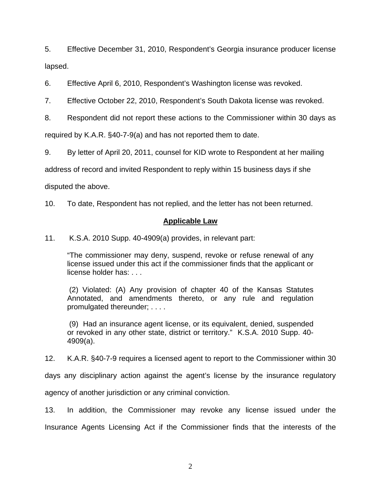5. Effective December 31, 2010, Respondent's Georgia insurance producer license lapsed.

6. Effective April 6, 2010, Respondent's Washington license was revoked.

7. Effective October 22, 2010, Respondent's South Dakota license was revoked.

8. Respondent did not report these actions to the Commissioner within 30 days as

required by K.A.R. §40-7-9(a) and has not reported them to date.

9. By letter of April 20, 2011, counsel for KID wrote to Respondent at her mailing

address of record and invited Respondent to reply within 15 business days if she

disputed the above.

10. To date, Respondent has not replied, and the letter has not been returned.

### **Applicable Law**

11. K.S.A. 2010 Supp. 40-4909(a) provides, in relevant part:

"The commissioner may deny, suspend, revoke or refuse renewal of any license issued under this act if the commissioner finds that the applicant or license holder has: . . .

 (2) Violated: (A) Any provision of chapter 40 of the Kansas Statutes Annotated, and amendments thereto, or any rule and regulation promulgated thereunder; . . . .

 (9) Had an insurance agent license, or its equivalent, denied, suspended or revoked in any other state, district or territory." K.S.A. 2010 Supp. 40- 4909(a).

12. K.A.R. §40-7-9 requires a licensed agent to report to the Commissioner within 30

days any disciplinary action against the agent's license by the insurance regulatory

agency of another jurisdiction or any criminal conviction.

13. In addition, the Commissioner may revoke any license issued under the Insurance Agents Licensing Act if the Commissioner finds that the interests of the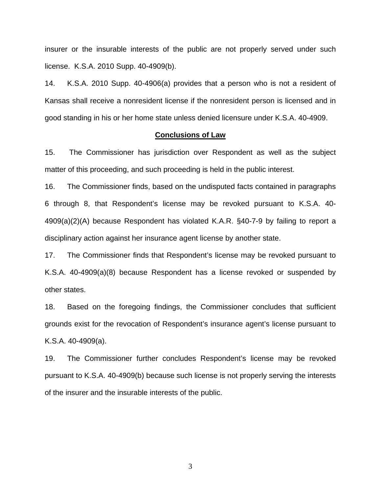insurer or the insurable interests of the public are not properly served under such license. K.S.A. 2010 Supp. 40-4909(b).

14. K.S.A. 2010 Supp. 40-4906(a) provides that a person who is not a resident of Kansas shall receive a nonresident license if the nonresident person is licensed and in good standing in his or her home state unless denied licensure under K.S.A. 40-4909.

#### **Conclusions of Law**

15. The Commissioner has jurisdiction over Respondent as well as the subject matter of this proceeding, and such proceeding is held in the public interest.

16. The Commissioner finds, based on the undisputed facts contained in paragraphs 6 through 8, that Respondent's license may be revoked pursuant to K.S.A. 40- 4909(a)(2)(A) because Respondent has violated K.A.R. §40-7-9 by failing to report a disciplinary action against her insurance agent license by another state.

17. The Commissioner finds that Respondent's license may be revoked pursuant to K.S.A. 40-4909(a)(8) because Respondent has a license revoked or suspended by other states.

18. Based on the foregoing findings, the Commissioner concludes that sufficient grounds exist for the revocation of Respondent's insurance agent's license pursuant to K.S.A. 40-4909(a).

19. The Commissioner further concludes Respondent's license may be revoked pursuant to K.S.A. 40-4909(b) because such license is not properly serving the interests of the insurer and the insurable interests of the public.

3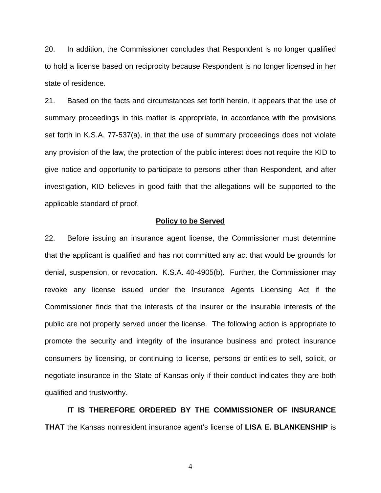20. In addition, the Commissioner concludes that Respondent is no longer qualified to hold a license based on reciprocity because Respondent is no longer licensed in her state of residence.

21. Based on the facts and circumstances set forth herein, it appears that the use of summary proceedings in this matter is appropriate, in accordance with the provisions set forth in K.S.A. 77-537(a), in that the use of summary proceedings does not violate any provision of the law, the protection of the public interest does not require the KID to give notice and opportunity to participate to persons other than Respondent, and after investigation, KID believes in good faith that the allegations will be supported to the applicable standard of proof.

#### **Policy to be Served**

22. Before issuing an insurance agent license, the Commissioner must determine that the applicant is qualified and has not committed any act that would be grounds for denial, suspension, or revocation. K.S.A. 40-4905(b). Further, the Commissioner may revoke any license issued under the Insurance Agents Licensing Act if the Commissioner finds that the interests of the insurer or the insurable interests of the public are not properly served under the license. The following action is appropriate to promote the security and integrity of the insurance business and protect insurance consumers by licensing, or continuing to license, persons or entities to sell, solicit, or negotiate insurance in the State of Kansas only if their conduct indicates they are both qualified and trustworthy.

 **IT IS THEREFORE ORDERED BY THE COMMISSIONER OF INSURANCE THAT** the Kansas nonresident insurance agent's license of **LISA E. BLANKENSHIP** is

4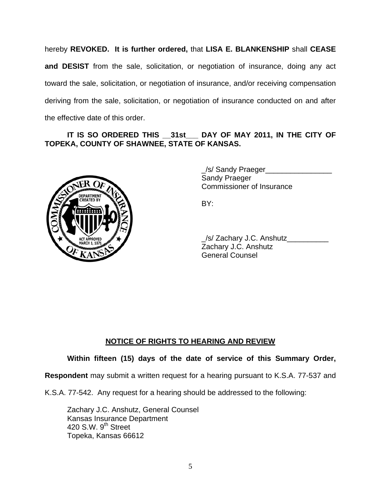hereby **REVOKED. It is further ordered,** that **LISA E. BLANKENSHIP** shall **CEASE and DESIST** from the sale, solicitation, or negotiation of insurance, doing any act toward the sale, solicitation, or negotiation of insurance, and/or receiving compensation deriving from the sale, solicitation, or negotiation of insurance conducted on and after the effective date of this order.

### **IT IS SO ORDERED THIS \_\_31st\_\_\_ DAY OF MAY 2011, IN THE CITY OF TOPEKA, COUNTY OF SHAWNEE, STATE OF KANSAS.**



 \_/s/ Sandy Praeger\_\_\_\_\_\_\_\_\_\_\_\_\_\_\_\_ Sandy Praeger Commissioner of Insurance

 \_/s/ Zachary J.C. Anshutz\_\_\_\_\_\_\_\_\_\_ Zachary J.C. Anshutz General Counsel

# **NOTICE OF RIGHTS TO HEARING AND REVIEW**

# **Within fifteen (15) days of the date of service of this Summary Order,**

**Respondent** may submit a written request for a hearing pursuant to K.S.A. 77-537 and

K.S.A. 77-542. Any request for a hearing should be addressed to the following:

 Zachary J.C. Anshutz, General Counsel Kansas Insurance Department 420 S.W.  $9<sup>th</sup>$  Street Topeka, Kansas 66612